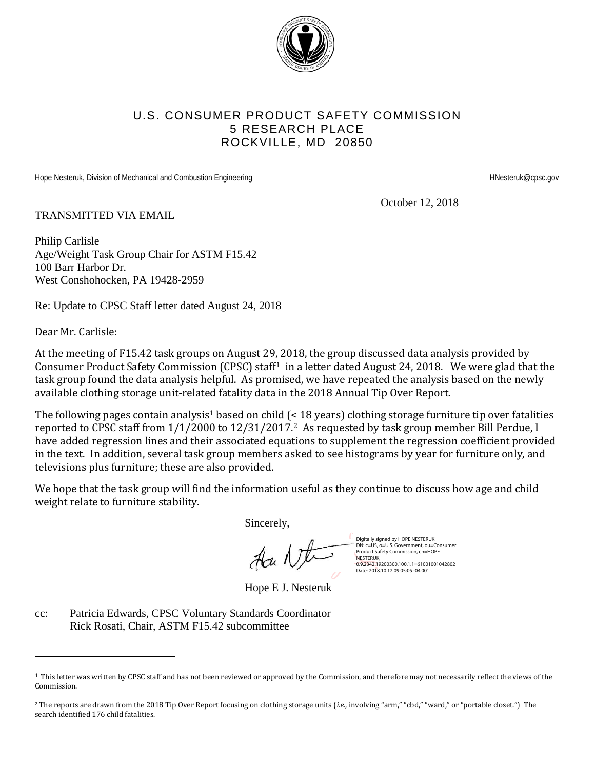

### U.S. CONSUMER PRODUCT SAFETY COMMISSION 5 RESEARCH PLACE ROCKVILLE, MD 20850

Hope Nesteruk, Division of Mechanical and Combustion Engineering HNESTER HOPE THE STATE HOPE NESTERN HARBOR HOPE THE STATE OF THE STATE OF THE STATE OF THE STATE OF THE STATE OF THE STATE OF THE STATE OF THE STATE OF THE S

October 12, 2018

#### TRANSMITTED VIA EMAIL

Philip Carlisle Age/Weight Task Group Chair for ASTM F15.42 100 Barr Harbor Dr. West Conshohocken, PA 19428-2959

Re: Update to CPSC Staff letter dated August 24, 2018

Dear Mr. Carlisle:

i<br>I

At the meeting of F15.42 task groups on August 29, 2018, the group discussed data analysis provided by Consumer Product Safety Commission (CPSC) staff<sup>1</sup> in a letter dated August 24, 2018. We were glad that the task group found the data analysis helpful. As promised, we have repeated the analysis based on the newly available clothing storage unit-related fatality data in the 2018 Annual Tip Over Report.

The following pages contain analysis[<](#page-0-1)sup>1</sup> based on child  $($ < 18 years) clothing storage furniture tip over fatalities reported to CPSC staff from 1/1/2000 to 12/31/2017. <sup>2</sup> As requested by task group member Bill Perdue, I have added regression lines and their associated equations to supplement the regression coefficient provided in the text. In addition, several task group members asked to see histograms by year for furniture only, and televisions plus furniture; these are also provided.

We hope that the task group will find the information useful as they continue to discuss how age and child weight relate to furniture stability.

Sincerely,

Ha Nt

Digitally signed by HOPE NESTERUK DN: c=US, o=U.S. Government, ou=Consumer Product Safety Commission, cn=HOPE NESTERUK, 0.9.2342.19200300.100.1.1=61001001042802 Date: 2018.10.12 09:05:05 -04'00'

Hope E J. Nesteruk

cc: Patricia Edwards, CPSC Voluntary Standards Coordinator Rick Rosati, Chair, ASTM F15.42 subcommittee

<span id="page-0-1"></span><sup>2</sup> The reports are drawn from the 2018 Tip Over Report focusing on clothing storage units (*i.e.*, involving "arm," "cbd," "ward," or "portable closet.") The search identified 176 child fatalities.

<span id="page-0-0"></span><sup>&</sup>lt;sup>1</sup> This letter was written by CPSC staff and has not been reviewed or approved by the Commission, and therefore may not necessarily reflect the views of the Commission.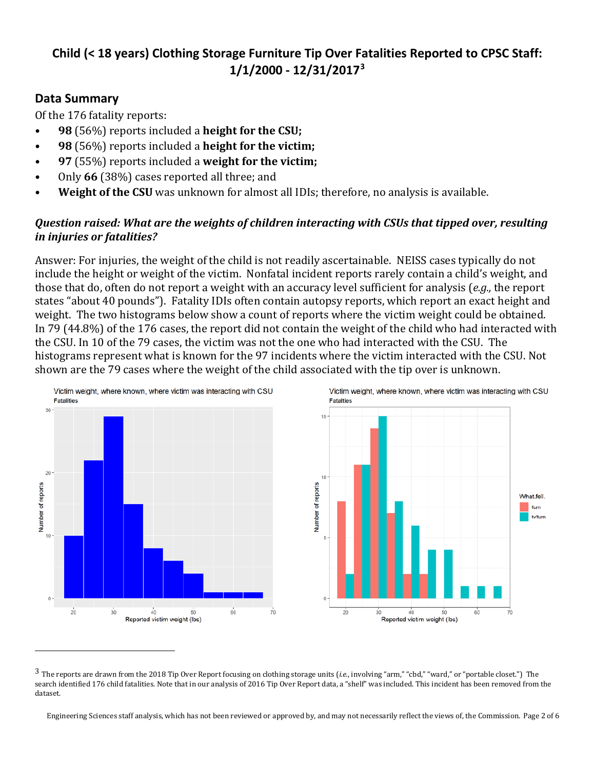# **Child (< 18 years) Clothing Storage Furniture Tip Over Fatalities Reported to CPSC Staff: 1/1/2000 - 12/31/2017[3](#page-1-0)**

# **Data Summary**

i<br>I

Of the 176 fatality reports:

- **98** (56%) reports included a **height for the CSU;**
- **98** (56%) reports included a **height for the victim;**
- **97** (55%) reports included a **weight for the victim;**
- Only **66** (38%) cases reported all three; and
- Weight of the CSU was unknown for almost all IDIs; therefore, no analysis is available.

# *Question raised: What are the weights of children interacting with CSUs that tipped over, resulting in injuries or fatalities?*

Answer: For injuries, the weight of the child is not readily ascertainable. NEISS cases typically do not include the height or weight of the victim. Nonfatal incident reports rarely contain a child's weight, and those that do, often do not report a weight with an accuracy level sufficient for analysis (*e.g.,* the report states "about 40 pounds"). Fatality IDIs often contain autopsy reports, which report an exact height and weight. The two histograms below show a count of reports where the victim weight could be obtained. In 79 (44.8%) of the 176 cases, the report did not contain the weight of the child who had interacted with the CSU. In 10 of the 79 cases, the victim was not the one who had interacted with the CSU. The histograms represent what is known for the 97 incidents where the victim interacted with the CSU. Not shown are the 79 cases where the weight of the child associated with the tip over is unknown.



<span id="page-1-0"></span><sup>3</sup> The reports are drawn from the 2018 Tip Over Report focusing on clothing storage units (*i.e.*, involving "arm," "cbd," "ward," or "portable closet.") The search identified 176 child fatalities. Note that in our analysis of 2016 Tip Over Report data, a "shelf" was included. This incident has been removed from the dataset.

Engineering Sciences staff analysis, which has not been reviewed or approved by, and may not necessarily reflect the views of, the Commission. Page 2 of 6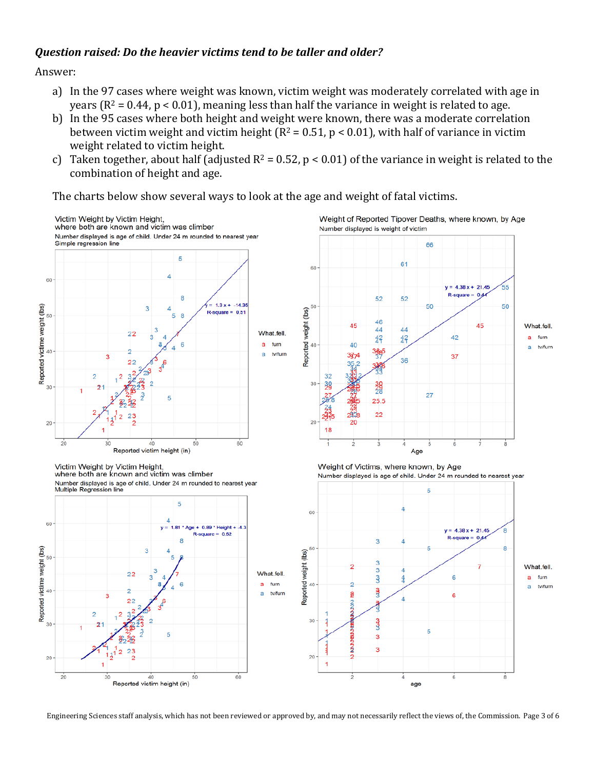#### *Question raised: Do the heavier victims tend to be taller and older?*

Answer:

- a) In the 97 cases where weight was known, victim weight was moderately correlated with age in years ( $R^2$  = 0.44,  $p$  < 0.01), meaning less than half the variance in weight is related to age.
- b) In the 95 cases where both height and weight were known, there was a moderate correlation between victim weight and victim height ( $R^2 = 0.51$ ,  $p < 0.01$ ), with half of variance in victim weight related to victim height.
- c) Taken together, about half (adjusted  $R^2 = 0.52$ , p < 0.01) of the variance in weight is related to the combination of height and age.

The charts below show several ways to look at the age and weight of fatal victims.



Engineering Sciences staff analysis, which has not been reviewed or approved by, and may not necessarily reflect the views of, the Commission. Page 3 of 6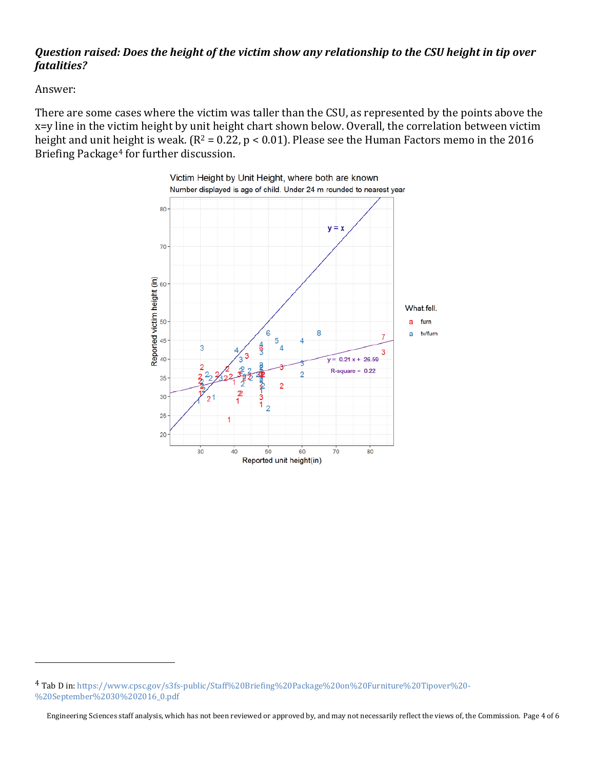### *Question raised: Does the height of the victim show any relationship to the CSU height in tip over fatalities?*

#### Answer:

i<br>I

There are some cases where the victim was taller than the CSU, as represented by the points above the x=y line in the victim height by unit height chart shown below. Overall, the correlation between victim [he](#page-3-0)ight and unit height is weak. ( $R^2 = 0.22$ ,  $p < 0.01$ ). Please see the Human Factors memo in the 2016 Briefing Package4 for further discussion.



<span id="page-3-0"></span><sup>4</sup> Tab D in[: https://www.cpsc.gov/s3fs-public/Staff%20Briefing%20Package%20on%20Furniture%20Tipover%20-](https://www.cpsc.gov/s3fs-public/Staff%20Briefing%20Package%20on%20Furniture%20Tipover%20-%20September%2030%202016_0.pdf) [%20September%2030%202016\\_0.pdf](https://www.cpsc.gov/s3fs-public/Staff%20Briefing%20Package%20on%20Furniture%20Tipover%20-%20September%2030%202016_0.pdf)

Engineering Sciences staff analysis, which has not been reviewed or approved by, and may not necessarily reflect the views of, the Commission. Page 4 of 6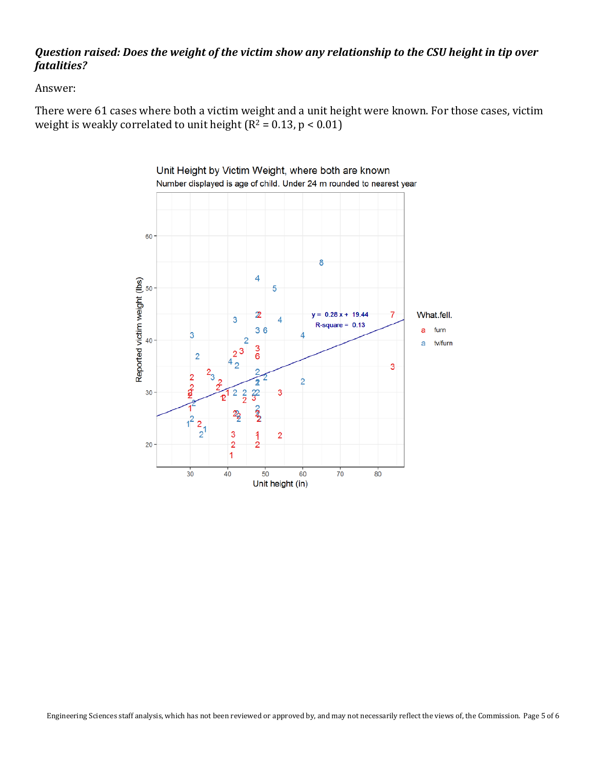# *Question raised: Does the weight of the victim show any relationship to the CSU height in tip over fatalities?*

Answer:

There were 61 cases where both a victim weight and a unit height were known. For those cases, victim weight is weakly correlated to unit height  $(R^2 = 0.13, p < 0.01)$